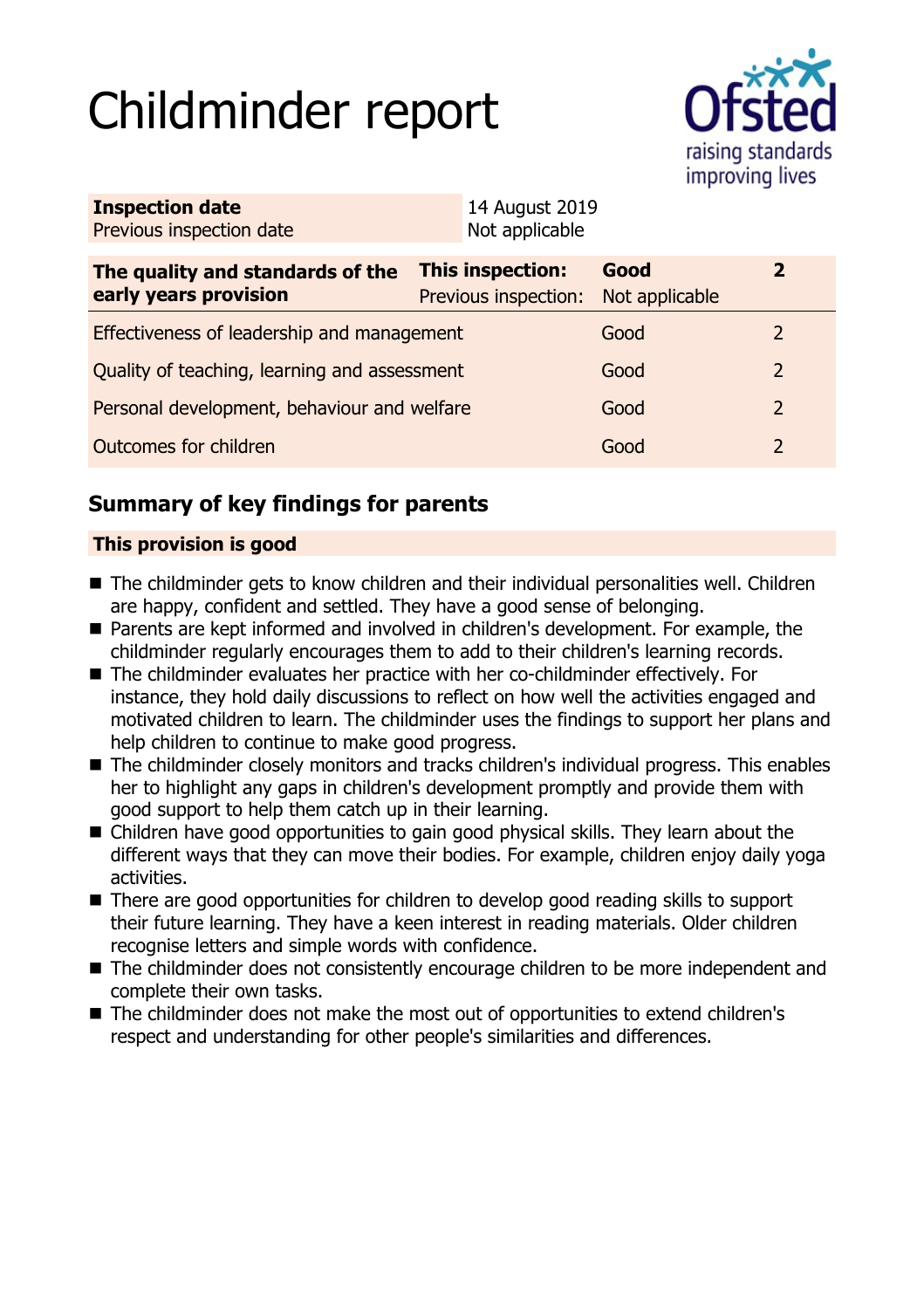# Childminder report



| <b>Inspection date</b><br>Previous inspection date        | 14 August 2019<br>Not applicable         |                        |                |  |
|-----------------------------------------------------------|------------------------------------------|------------------------|----------------|--|
| The quality and standards of the<br>early years provision | This inspection:<br>Previous inspection: | Good<br>Not applicable | $\mathbf{2}$   |  |
| Effectiveness of leadership and management                |                                          | Good                   |                |  |
| Quality of teaching, learning and assessment              |                                          | Good                   | $\overline{2}$ |  |
| Personal development, behaviour and welfare               |                                          | Good                   | 2              |  |
| Outcomes for children                                     |                                          | Good                   | 2              |  |

# **Summary of key findings for parents**

## **This provision is good**

- The childminder gets to know children and their individual personalities well. Children are happy, confident and settled. They have a good sense of belonging.
- Parents are kept informed and involved in children's development. For example, the childminder regularly encourages them to add to their children's learning records.
- The childminder evaluates her practice with her co-childminder effectively. For instance, they hold daily discussions to reflect on how well the activities engaged and motivated children to learn. The childminder uses the findings to support her plans and help children to continue to make good progress.
- The childminder closely monitors and tracks children's individual progress. This enables her to highlight any gaps in children's development promptly and provide them with good support to help them catch up in their learning.
- $\blacksquare$  Children have good opportunities to gain good physical skills. They learn about the different ways that they can move their bodies. For example, children enjoy daily yoga activities.
- There are good opportunities for children to develop good reading skills to support their future learning. They have a keen interest in reading materials. Older children recognise letters and simple words with confidence.
- The childminder does not consistently encourage children to be more independent and complete their own tasks.
- The childminder does not make the most out of opportunities to extend children's respect and understanding for other people's similarities and differences.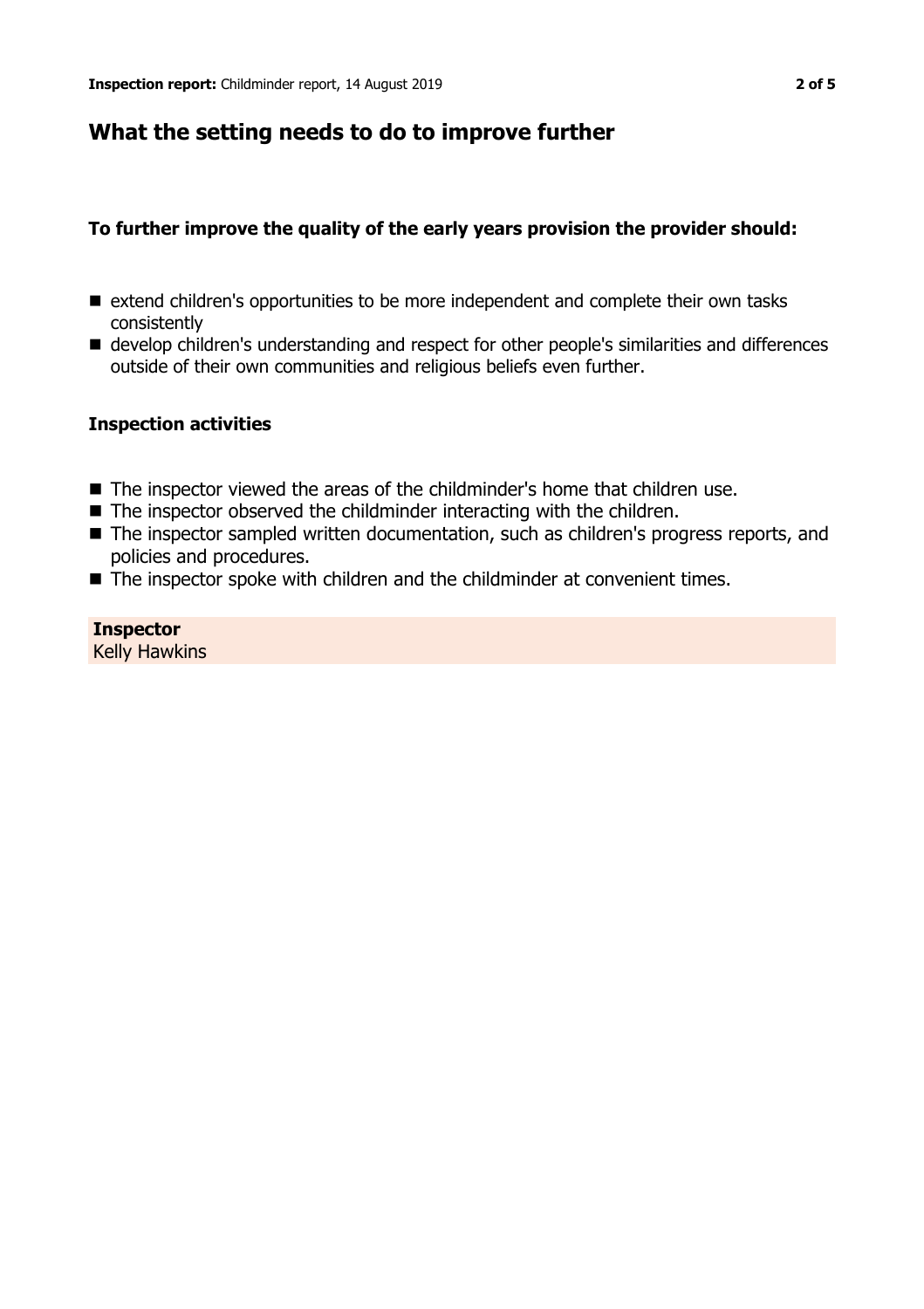## **What the setting needs to do to improve further**

## **To further improve the quality of the early years provision the provider should:**

- extend children's opportunities to be more independent and complete their own tasks consistently
- develop children's understanding and respect for other people's similarities and differences outside of their own communities and religious beliefs even further.

### **Inspection activities**

- The inspector viewed the areas of the childminder's home that children use.
- $\blacksquare$  The inspector observed the childminder interacting with the children.
- The inspector sampled written documentation, such as children's progress reports, and policies and procedures.
- The inspector spoke with children and the childminder at convenient times.

#### **Inspector** Kelly Hawkins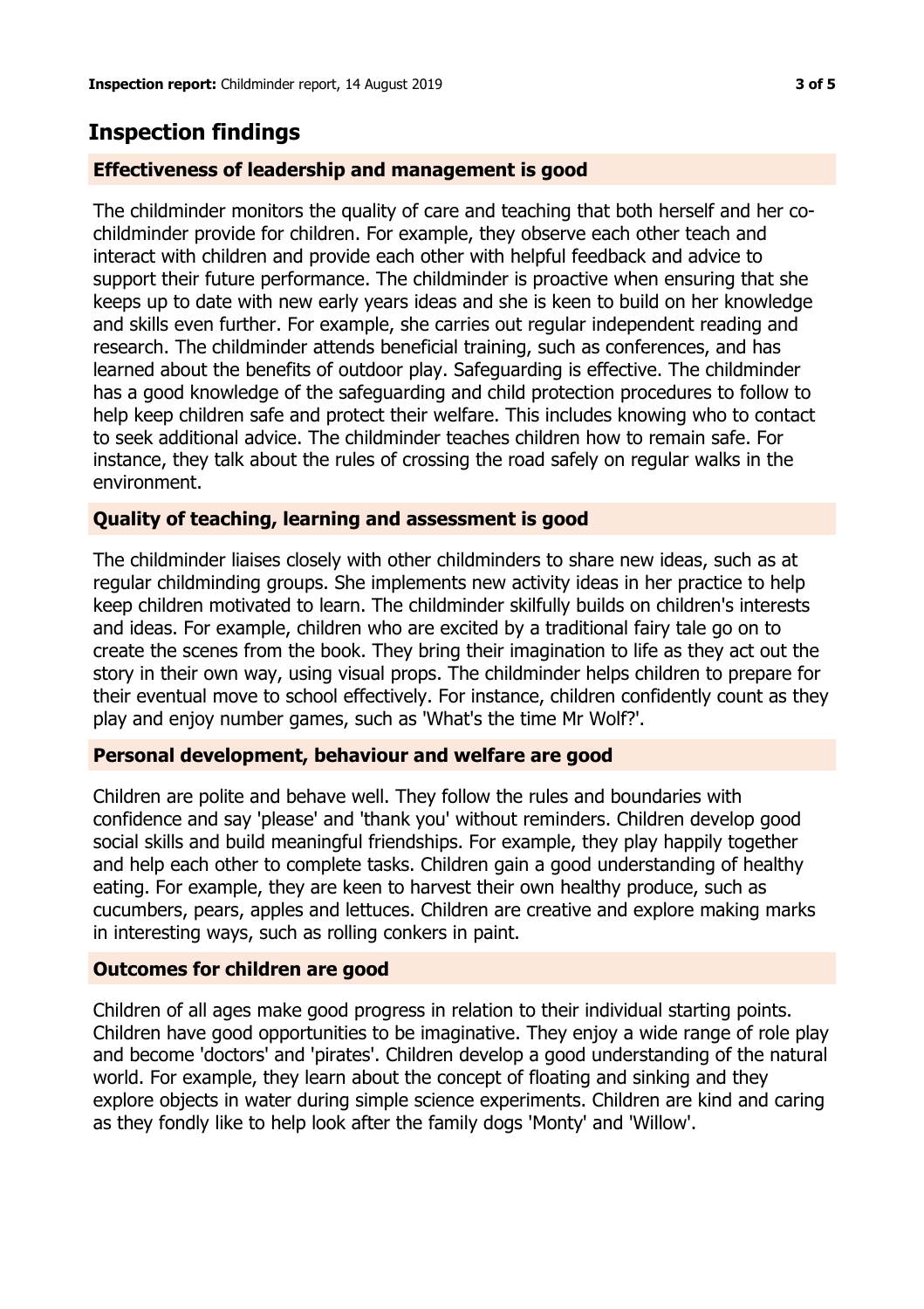## **Inspection findings**

## **Effectiveness of leadership and management is good**

The childminder monitors the quality of care and teaching that both herself and her cochildminder provide for children. For example, they observe each other teach and interact with children and provide each other with helpful feedback and advice to support their future performance. The childminder is proactive when ensuring that she keeps up to date with new early years ideas and she is keen to build on her knowledge and skills even further. For example, she carries out regular independent reading and research. The childminder attends beneficial training, such as conferences, and has learned about the benefits of outdoor play. Safeguarding is effective. The childminder has a good knowledge of the safeguarding and child protection procedures to follow to help keep children safe and protect their welfare. This includes knowing who to contact to seek additional advice. The childminder teaches children how to remain safe. For instance, they talk about the rules of crossing the road safely on regular walks in the environment.

## **Quality of teaching, learning and assessment is good**

The childminder liaises closely with other childminders to share new ideas, such as at regular childminding groups. She implements new activity ideas in her practice to help keep children motivated to learn. The childminder skilfully builds on children's interests and ideas. For example, children who are excited by a traditional fairy tale go on to create the scenes from the book. They bring their imagination to life as they act out the story in their own way, using visual props. The childminder helps children to prepare for their eventual move to school effectively. For instance, children confidently count as they play and enjoy number games, such as 'What's the time Mr Wolf?'.

### **Personal development, behaviour and welfare are good**

Children are polite and behave well. They follow the rules and boundaries with confidence and say 'please' and 'thank you' without reminders. Children develop good social skills and build meaningful friendships. For example, they play happily together and help each other to complete tasks. Children gain a good understanding of healthy eating. For example, they are keen to harvest their own healthy produce, such as cucumbers, pears, apples and lettuces. Children are creative and explore making marks in interesting ways, such as rolling conkers in paint.

### **Outcomes for children are good**

Children of all ages make good progress in relation to their individual starting points. Children have good opportunities to be imaginative. They enjoy a wide range of role play and become 'doctors' and 'pirates'. Children develop a good understanding of the natural world. For example, they learn about the concept of floating and sinking and they explore objects in water during simple science experiments. Children are kind and caring as they fondly like to help look after the family dogs 'Monty' and 'Willow'.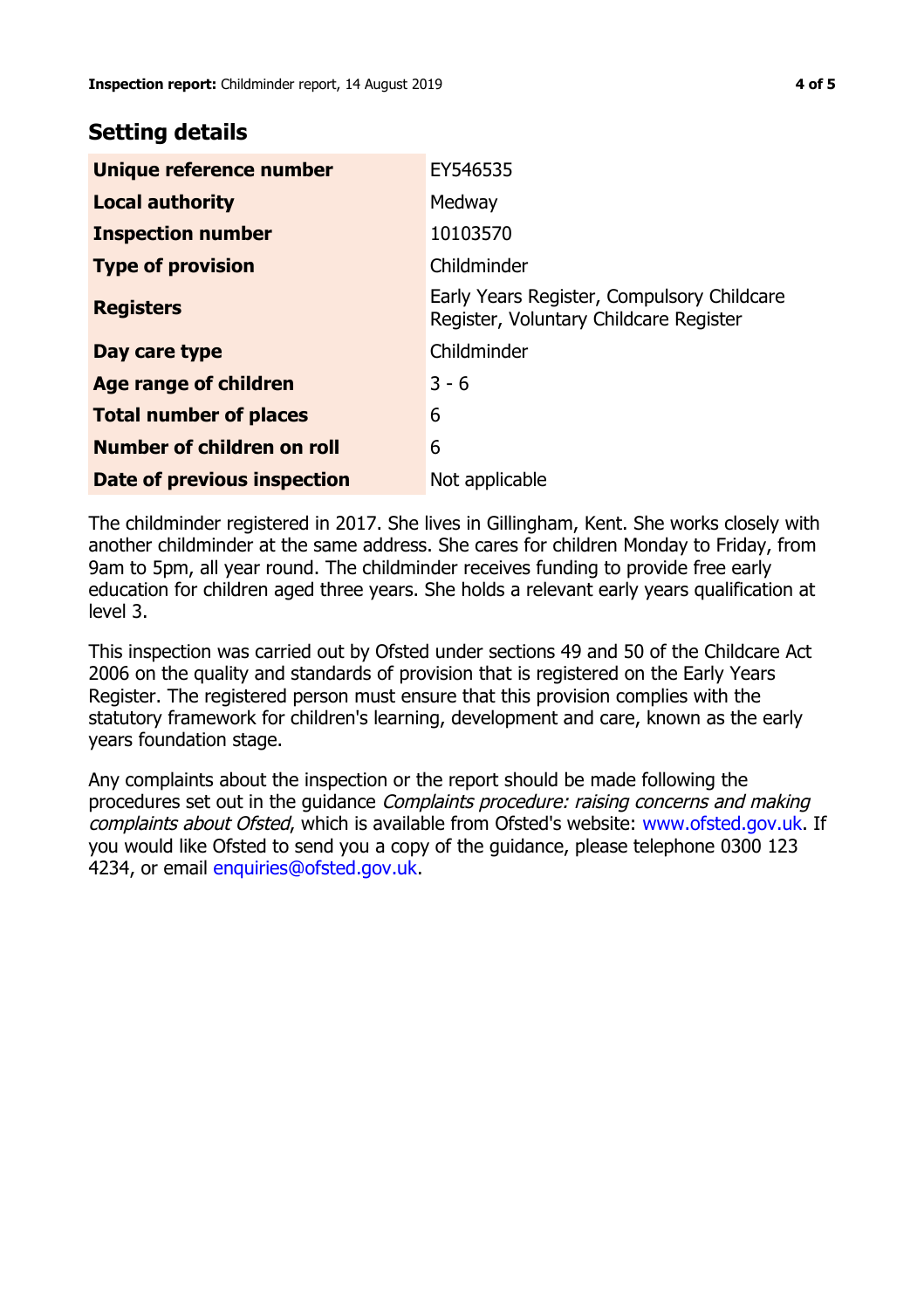## **Setting details**

| Unique reference number       | EY546535                                                                             |
|-------------------------------|--------------------------------------------------------------------------------------|
| <b>Local authority</b>        | Medway                                                                               |
| <b>Inspection number</b>      | 10103570                                                                             |
| <b>Type of provision</b>      | Childminder                                                                          |
| <b>Registers</b>              | Early Years Register, Compulsory Childcare<br>Register, Voluntary Childcare Register |
| Day care type                 | Childminder                                                                          |
| <b>Age range of children</b>  | $3 - 6$                                                                              |
| <b>Total number of places</b> | 6                                                                                    |
| Number of children on roll    | 6                                                                                    |
| Date of previous inspection   | Not applicable                                                                       |

The childminder registered in 2017. She lives in Gillingham, Kent. She works closely with another childminder at the same address. She cares for children Monday to Friday, from 9am to 5pm, all year round. The childminder receives funding to provide free early education for children aged three years. She holds a relevant early years qualification at level 3.

This inspection was carried out by Ofsted under sections 49 and 50 of the Childcare Act 2006 on the quality and standards of provision that is registered on the Early Years Register. The registered person must ensure that this provision complies with the statutory framework for children's learning, development and care, known as the early years foundation stage.

Any complaints about the inspection or the report should be made following the procedures set out in the guidance Complaints procedure: raising concerns and making complaints about Ofsted, which is available from Ofsted's website: www.ofsted.gov.uk. If you would like Ofsted to send you a copy of the guidance, please telephone 0300 123 4234, or email [enquiries@ofsted.gov.uk.](mailto:enquiries@ofsted.gov.uk)